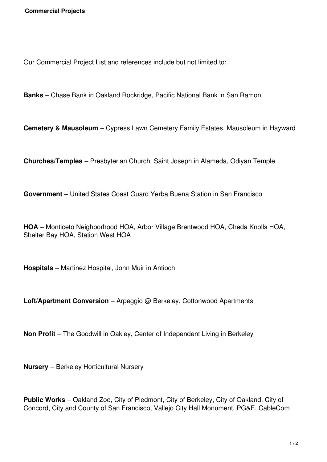Our Commercial Project List and references include but not limited to:

**Banks** – Chase Bank in Oakland Rockridge, Pacific National Bank in San Ramon

**Cemetery & Mausoleum** – Cypress Lawn Cemetery Family Estates, Mausoleum in Hayward

**Churches/Temples** – Presbyterian Church, Saint Joseph in Alameda, Odiyan Temple

**Government** – United States Coast Guard Yerba Buena Station in San Francisco

**HOA** – Monticeto Neighborhood HOA, Arbor Village Brentwood HOA, Cheda Knolls HOA, Shelter Bay HOA, Station West HOA

**Hospitals** – Martinez Hospital, John Muir in Antioch

**Loft/Apartment Conversion** – Arpeggio @ Berkeley, Cottonwood Apartments

**Non Profit** – The Goodwill in Oakley, Center of Independent Living in Berkeley

**Nursery** – Berkeley Horticultural Nursery

**Public Works** – Oakland Zoo, City of Piedmont, City of Berkeley, City of Oakland, City of Concord, City and County of San Francisco, Vallejo City Hall Monument, PG&E, CableCom